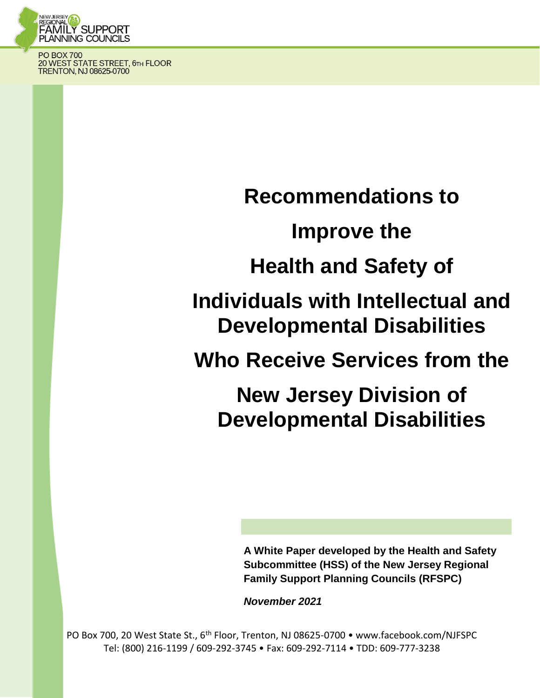

**PO BOX 700** 20 WEST STATE STREET, 6TH FLOOR<br>TRENTON, NJ 08625-0700

**Recommendations to** 

# **Improve the**

# **Health and Safety of**

**Individuals with Intellectual and Developmental Disabilities** 

**Who Receive Services from the** 

**New Jersey Division of Developmental Disabilities** 

> **A White Paper developed by the Health and Safety Subcommittee (HSS) of the New Jersey Regional Family Support Planning Councils (RFSPC)**

*November 2021*

PO Box 700, 20 West State St., 6<sup>th</sup> Floor, Trenton, NJ 08625-0700 • www.facebook.com/NJFSPC Tel: (800) 216-1199 / 609-292-3745 • Fax: 609-292-7114 • TDD: 609-777-3238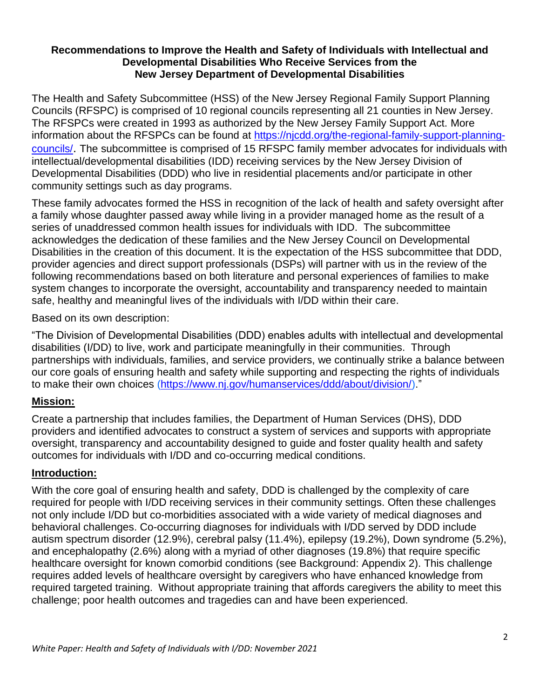### **Recommendations to Improve the Health and Safety of Individuals with Intellectual and Developmental Disabilities Who Receive Services from the New Jersey Department of Developmental Disabilities**

The Health and Safety Subcommittee (HSS) of the New Jersey Regional Family Support Planning Councils (RFSPC) is comprised of 10 regional councils representing all 21 counties in New Jersey. The RFSPCs were created in 1993 as authorized by the New Jersey Family Support Act. More information about the RFSPCs can be found at [https://njcdd.org/the-regional-family-support-planning](https://njcdd.org/the-regional-family-support-planning-councils/)[councils/](https://njcdd.org/the-regional-family-support-planning-councils/). The subcommittee is comprised of 15 RFSPC family member advocates for individuals with intellectual/developmental disabilities (IDD) receiving services by the New Jersey Division of Developmental Disabilities (DDD) who live in residential placements and/or participate in other community settings such as day programs.

These family advocates formed the HSS in recognition of the lack of health and safety oversight after a family whose daughter passed away while living in a provider managed home as the result of a series of unaddressed common health issues for individuals with IDD. The subcommittee acknowledges the dedication of these families and the New Jersey Council on Developmental Disabilities in the creation of this document. It is the expectation of the HSS subcommittee that DDD, provider agencies and direct support professionals (DSPs) will partner with us in the review of the following recommendations based on both literature and personal experiences of families to make system changes to incorporate the oversight, accountability and transparency needed to maintain safe, healthy and meaningful lives of the individuals with I/DD within their care.

Based on its own description:

"The Division of Developmental Disabilities (DDD) enables adults with intellectual and developmental disabilities (I/DD) to live, work and participate meaningfully in their communities. Through partnerships with individuals, families, and service providers, we continually strike a balance between our core goals of ensuring health and safety while supporting and respecting the rights of individuals to make their own choices [\(https://www.nj.gov/humanservices/ddd/about/division/\)](https://www.nj.gov/humanservices/ddd/about/division/)."

## **Mission:**

Create a partnership that includes families, the Department of Human Services (DHS), DDD providers and identified advocates to construct a system of services and supports with appropriate oversight, transparency and accountability designed to guide and foster quality health and safety outcomes for individuals with I/DD and co-occurring medical conditions.

## **Introduction:**

With the core goal of ensuring health and safety, DDD is challenged by the complexity of care required for people with I/DD receiving services in their community settings. Often these challenges not only include I/DD but co-morbidities associated with a wide variety of medical diagnoses and behavioral challenges. Co-occurring diagnoses for individuals with I/DD served by DDD include autism spectrum disorder (12.9%), cerebral palsy (11.4%), epilepsy (19.2%), Down syndrome (5.2%), and encephalopathy (2.6%) along with a myriad of other diagnoses (19.8%) that require specific healthcare oversight for known comorbid conditions (see Background: Appendix 2). This challenge requires added levels of healthcare oversight by caregivers who have enhanced knowledge from required targeted training. Without appropriate training that affords caregivers the ability to meet this challenge; poor health outcomes and tragedies can and have been experienced.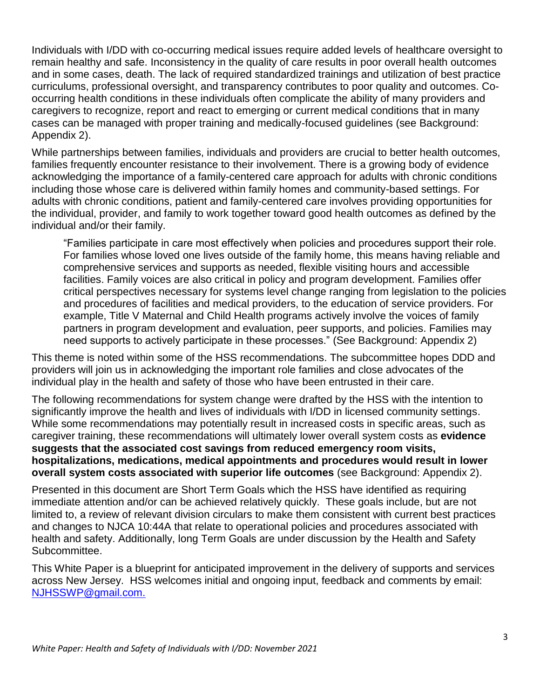Individuals with I/DD with co-occurring medical issues require added levels of healthcare oversight to remain healthy and safe. Inconsistency in the quality of care results in poor overall health outcomes and in some cases, death. The lack of required standardized trainings and utilization of best practice curriculums, professional oversight, and transparency contributes to poor quality and outcomes. Cooccurring health conditions in these individuals often complicate the ability of many providers and caregivers to recognize, report and react to emerging or current medical conditions that in many cases can be managed with proper training and medically-focused guidelines (see Background: Appendix 2).

While partnerships between families, individuals and providers are crucial to better health outcomes, families frequently encounter resistance to their involvement. There is a growing body of evidence acknowledging the importance of a family-centered care approach for adults with chronic conditions including those whose care is delivered within family homes and community-based settings. For adults with chronic conditions, patient and family-centered care involves providing opportunities for the individual, provider, and family to work together toward good health outcomes as defined by the individual and/or their family.

"Families participate in care most effectively when policies and procedures support their role. For families whose loved one lives outside of the family home, this means having reliable and comprehensive services and supports as needed, flexible visiting hours and accessible facilities. Family voices are also critical in policy and program development. Families offer critical perspectives necessary for systems level change ranging from legislation to the policies and procedures of facilities and medical providers, to the education of service providers. For example, Title V Maternal and Child Health programs actively involve the voices of family partners in program development and evaluation, peer supports, and policies. Families may need supports to actively participate in these processes." (See Background: Appendix 2)

This theme is noted within some of the HSS recommendations. The subcommittee hopes DDD and providers will join us in acknowledging the important role families and close advocates of the individual play in the health and safety of those who have been entrusted in their care.

The following recommendations for system change were drafted by the HSS with the intention to significantly improve the health and lives of individuals with I/DD in licensed community settings. While some recommendations may potentially result in increased costs in specific areas, such as caregiver training, these recommendations will ultimately lower overall system costs as **evidence suggests that the associated cost savings from reduced emergency room visits, hospitalizations, medications, medical appointments and procedures would result in lower overall system costs associated with superior life outcomes** (see Background: Appendix 2).

Presented in this document are Short Term Goals which the HSS have identified as requiring immediate attention and/or can be achieved relatively quickly. These goals include, but are not limited to, a review of relevant division circulars to make them consistent with current best practices and changes to NJCA 10:44A that relate to operational policies and procedures associated with health and safety. Additionally, long Term Goals are under discussion by the Health and Safety Subcommittee.

This White Paper is a blueprint for anticipated improvement in the delivery of supports and services across New Jersey. HSS welcomes initial and ongoing input, feedback and comments by email: [NJHSSWP@gmail.com.](mailto:NJHSSWP@gmail.com)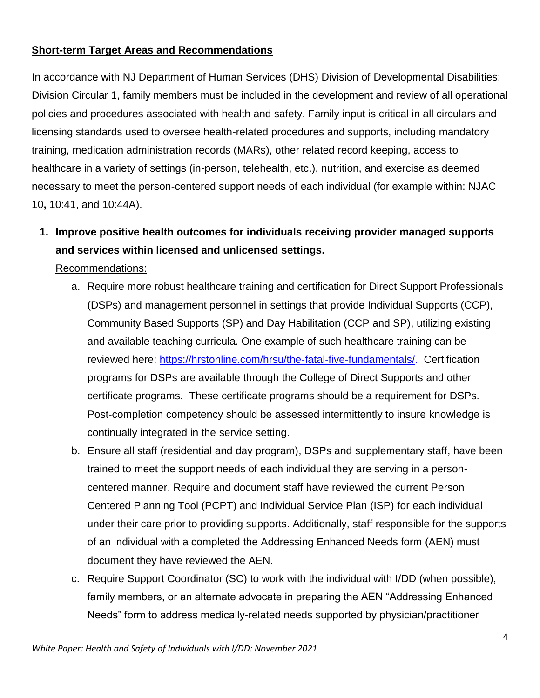## **Short-term Target Areas and Recommendations**

In accordance with NJ Department of Human Services (DHS) Division of Developmental Disabilities: Division Circular 1, family members must be included in the development and review of all operational policies and procedures associated with health and safety. Family input is critical in all circulars and licensing standards used to oversee health-related procedures and supports, including mandatory training, medication administration records (MARs), other related record keeping, access to healthcare in a variety of settings (in-person, telehealth, etc.), nutrition, and exercise as deemed necessary to meet the person-centered support needs of each individual (for example within: NJAC 10**,** 10:41, and 10:44A).

**1. Improve positive health outcomes for individuals receiving provider managed supports and services within licensed and unlicensed settings.** 

- a. Require more robust healthcare training and certification for Direct Support Professionals (DSPs) and management personnel in settings that provide Individual Supports (CCP), Community Based Supports (SP) and Day Habilitation (CCP and SP), utilizing existing and available teaching curricula. One example of such healthcare training can be reviewed here: [https://hrstonline.com/hrsu/the-fatal-five-fundamentals/.](https://hrstonline.com/hrsu/the-fatal-five-fundamentals/) Certification programs for DSPs are available through the College of Direct Supports and other certificate programs. These certificate programs should be a requirement for DSPs. Post-completion competency should be assessed intermittently to insure knowledge is continually integrated in the service setting.
- b. Ensure all staff (residential and day program), DSPs and supplementary staff, have been trained to meet the support needs of each individual they are serving in a personcentered manner. Require and document staff have reviewed the current Person Centered Planning Tool (PCPT) and Individual Service Plan (ISP) for each individual under their care prior to providing supports. Additionally, staff responsible for the supports of an individual with a completed the Addressing Enhanced Needs form (AEN) must document they have reviewed the AEN.
- c. Require Support Coordinator (SC) to work with the individual with I/DD (when possible), family members, or an alternate advocate in preparing the AEN "Addressing Enhanced Needs" form to address medically-related needs supported by physician/practitioner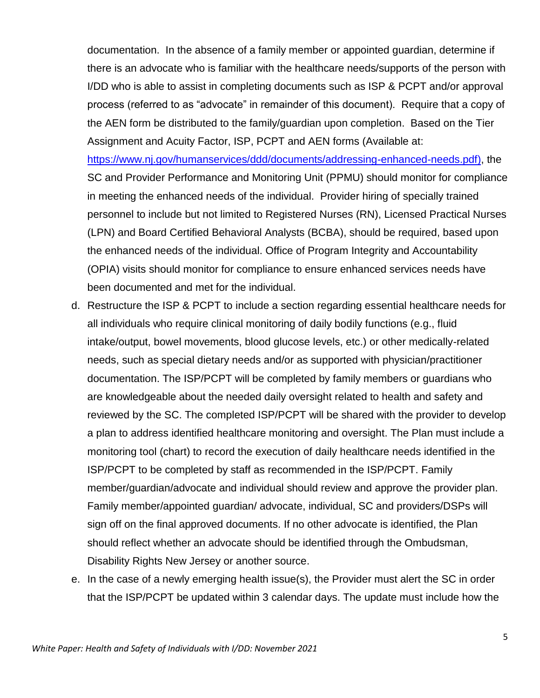documentation. In the absence of a family member or appointed guardian, determine if there is an advocate who is familiar with the healthcare needs/supports of the person with I/DD who is able to assist in completing documents such as ISP & PCPT and/or approval process (referred to as "advocate" in remainder of this document). Require that a copy of the AEN form be distributed to the family/guardian upon completion. Based on the Tier Assignment and Acuity Factor, ISP, PCPT and AEN forms (Available at:

[https://www.nj.gov/humanservices/ddd/documents/addressing-enhanced-needs.pdf\)](https://www.nj.gov/humanservices/ddd/documents/addressing-enhanced-needs.pdf), the SC and Provider Performance and Monitoring Unit (PPMU) should monitor for compliance in meeting the enhanced needs of the individual. Provider hiring of specially trained personnel to include but not limited to Registered Nurses (RN), Licensed Practical Nurses (LPN) and Board Certified Behavioral Analysts (BCBA), should be required, based upon the enhanced needs of the individual. Office of Program Integrity and Accountability (OPIA) visits should monitor for compliance to ensure enhanced services needs have been documented and met for the individual.

- d. Restructure the ISP & PCPT to include a section regarding essential healthcare needs for all individuals who require clinical monitoring of daily bodily functions (e.g., fluid intake/output, bowel movements, blood glucose levels, etc.) or other medically-related needs, such as special dietary needs and/or as supported with physician/practitioner documentation. The ISP/PCPT will be completed by family members or guardians who are knowledgeable about the needed daily oversight related to health and safety and reviewed by the SC. The completed ISP/PCPT will be shared with the provider to develop a plan to address identified healthcare monitoring and oversight. The Plan must include a monitoring tool (chart) to record the execution of daily healthcare needs identified in the ISP/PCPT to be completed by staff as recommended in the ISP/PCPT. Family member/guardian/advocate and individual should review and approve the provider plan. Family member/appointed guardian/ advocate, individual, SC and providers/DSPs will sign off on the final approved documents. If no other advocate is identified, the Plan should reflect whether an advocate should be identified through the Ombudsman, Disability Rights New Jersey or another source.
- e. In the case of a newly emerging health issue(s), the Provider must alert the SC in order that the ISP/PCPT be updated within 3 calendar days. The update must include how the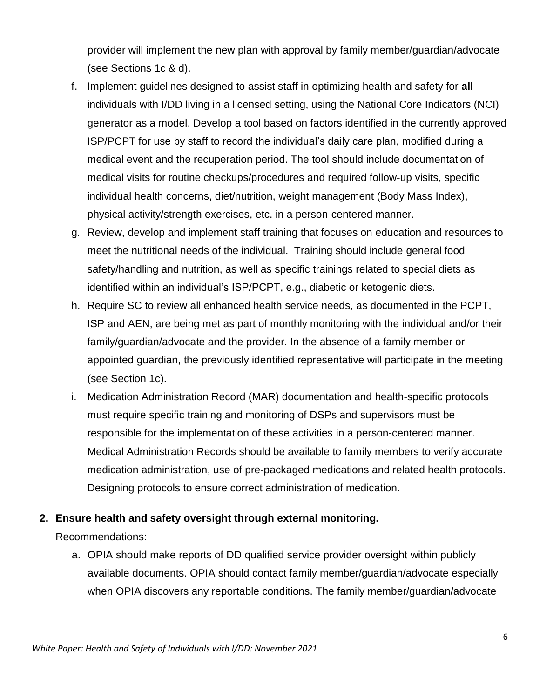provider will implement the new plan with approval by family member/guardian/advocate (see Sections 1c & d).

- f. Implement guidelines designed to assist staff in optimizing health and safety for **all** individuals with I/DD living in a licensed setting, using the National Core Indicators (NCI) generator as a model. Develop a tool based on factors identified in the currently approved ISP/PCPT for use by staff to record the individual's daily care plan, modified during a medical event and the recuperation period. The tool should include documentation of medical visits for routine checkups/procedures and required follow-up visits, specific individual health concerns, diet/nutrition, weight management (Body Mass Index), physical activity/strength exercises, etc. in a person-centered manner.
- g. Review, develop and implement staff training that focuses on education and resources to meet the nutritional needs of the individual. Training should include general food safety/handling and nutrition, as well as specific trainings related to special diets as identified within an individual's ISP/PCPT, e.g., diabetic or ketogenic diets.
- h. Require SC to review all enhanced health service needs, as documented in the PCPT, ISP and AEN, are being met as part of monthly monitoring with the individual and/or their family/guardian/advocate and the provider. In the absence of a family member or appointed guardian, the previously identified representative will participate in the meeting (see Section 1c).
- i. Medication Administration Record (MAR) documentation and health-specific protocols must require specific training and monitoring of DSPs and supervisors must be responsible for the implementation of these activities in a person-centered manner. Medical Administration Records should be available to family members to verify accurate medication administration, use of pre-packaged medications and related health protocols. Designing protocols to ensure correct administration of medication.

## **2. Ensure health and safety oversight through external monitoring.**

## Recommendations:

a. OPIA should make reports of DD qualified service provider oversight within publicly available documents. OPIA should contact family member/guardian/advocate especially when OPIA discovers any reportable conditions. The family member/guardian/advocate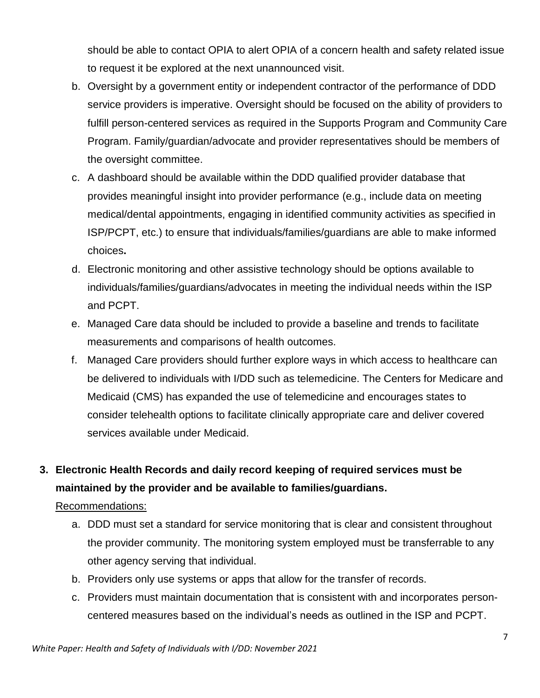should be able to contact OPIA to alert OPIA of a concern health and safety related issue to request it be explored at the next unannounced visit.

- b. Oversight by a government entity or independent contractor of the performance of DDD service providers is imperative. Oversight should be focused on the ability of providers to fulfill person-centered services as required in the Supports Program and Community Care Program. Family/guardian/advocate and provider representatives should be members of the oversight committee.
- c. A dashboard should be available within the DDD qualified provider database that provides meaningful insight into provider performance (e.g., include data on meeting medical/dental appointments, engaging in identified community activities as specified in ISP/PCPT, etc.) to ensure that individuals/families/guardians are able to make informed choices**.**
- d. Electronic monitoring and other assistive technology should be options available to individuals/families/guardians/advocates in meeting the individual needs within the ISP and PCPT.
- e. Managed Care data should be included to provide a baseline and trends to facilitate measurements and comparisons of health outcomes.
- f. Managed Care providers should further explore ways in which access to healthcare can be delivered to individuals with I/DD such as telemedicine. The Centers for Medicare and Medicaid (CMS) has expanded the use of telemedicine and encourages states to consider telehealth options to facilitate clinically appropriate care and deliver covered services available under Medicaid.

# **3. Electronic Health Records and daily record keeping of required services must be maintained by the provider and be available to families/guardians.**

- a. DDD must set a standard for service monitoring that is clear and consistent throughout the provider community. The monitoring system employed must be transferrable to any other agency serving that individual.
- b. Providers only use systems or apps that allow for the transfer of records.
- c. Providers must maintain documentation that is consistent with and incorporates personcentered measures based on the individual's needs as outlined in the ISP and PCPT.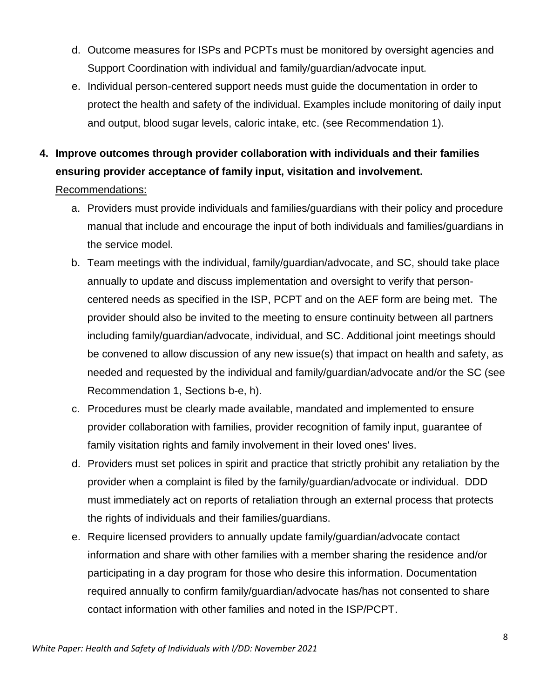- d. Outcome measures for ISPs and PCPTs must be monitored by oversight agencies and Support Coordination with individual and family/guardian/advocate input.
- e. Individual person-centered support needs must guide the documentation in order to protect the health and safety of the individual. Examples include monitoring of daily input and output, blood sugar levels, caloric intake, etc. (see Recommendation 1).

## **4. Improve outcomes through provider collaboration with individuals and their families ensuring provider acceptance of family input, visitation and involvement.**

- a. Providers must provide individuals and families/guardians with their policy and procedure manual that include and encourage the input of both individuals and families/guardians in the service model.
- b. Team meetings with the individual, family/guardian/advocate, and SC, should take place annually to update and discuss implementation and oversight to verify that personcentered needs as specified in the ISP, PCPT and on the AEF form are being met. The provider should also be invited to the meeting to ensure continuity between all partners including family/guardian/advocate, individual, and SC. Additional joint meetings should be convened to allow discussion of any new issue(s) that impact on health and safety, as needed and requested by the individual and family/guardian/advocate and/or the SC (see Recommendation 1, Sections b-e, h).
- c. Procedures must be clearly made available, mandated and implemented to ensure provider collaboration with families, provider recognition of family input, guarantee of family visitation rights and family involvement in their loved ones' lives.
- d. Providers must set polices in spirit and practice that strictly prohibit any retaliation by the provider when a complaint is filed by the family/guardian/advocate or individual. DDD must immediately act on reports of retaliation through an external process that protects the rights of individuals and their families/guardians.
- e. Require licensed providers to annually update family/guardian/advocate contact information and share with other families with a member sharing the residence and/or participating in a day program for those who desire this information. Documentation required annually to confirm family/guardian/advocate has/has not consented to share contact information with other families and noted in the ISP/PCPT.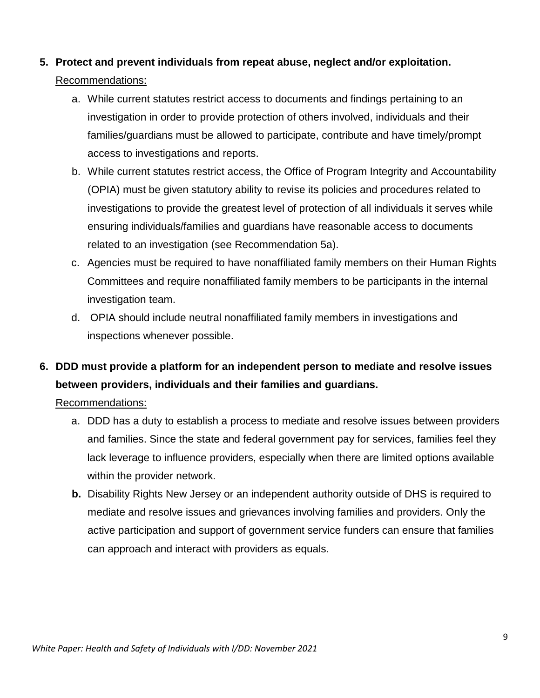## **5. Protect and prevent individuals from repeat abuse, neglect and/or exploitation.**  Recommendations:

- a. While current statutes restrict access to documents and findings pertaining to an investigation in order to provide protection of others involved, individuals and their families/guardians must be allowed to participate, contribute and have timely/prompt access to investigations and reports.
- b. While current statutes restrict access, the Office of Program Integrity and Accountability (OPIA) must be given statutory ability to revise its policies and procedures related to investigations to provide the greatest level of protection of all individuals it serves while ensuring individuals/families and guardians have reasonable access to documents related to an investigation (see Recommendation 5a).
- c. Agencies must be required to have nonaffiliated family members on their Human Rights Committees and require nonaffiliated family members to be participants in the internal investigation team.
- d. OPIA should include neutral nonaffiliated family members in investigations and inspections whenever possible.

## **6. DDD must provide a platform for an independent person to mediate and resolve issues between providers, individuals and their families and guardians.**

- a. DDD has a duty to establish a process to mediate and resolve issues between providers and families. Since the state and federal government pay for services, families feel they lack leverage to influence providers, especially when there are limited options available within the provider network.
- **b.** Disability Rights New Jersey or an independent authority outside of DHS is required to mediate and resolve issues and grievances involving families and providers. Only the active participation and support of government service funders can ensure that families can approach and interact with providers as equals.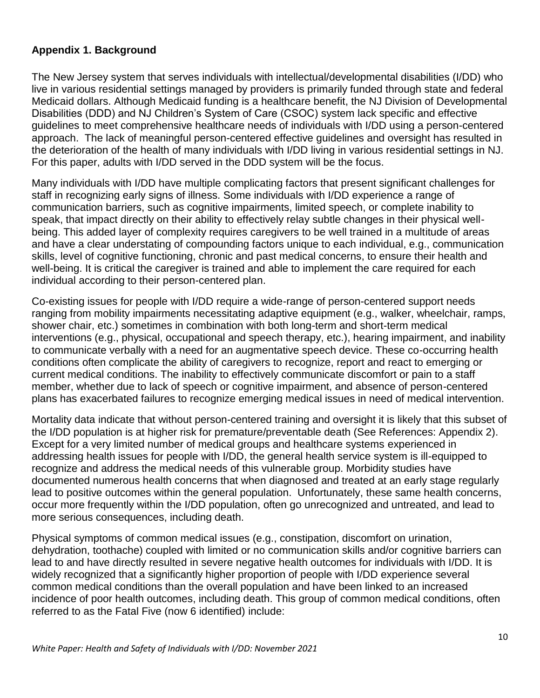## **Appendix 1. Background**

The New Jersey system that serves individuals with intellectual/developmental disabilities (I/DD) who live in various residential settings managed by providers is primarily funded through state and federal Medicaid dollars. Although Medicaid funding is a healthcare benefit, the NJ Division of Developmental Disabilities (DDD) and NJ Children's System of Care (CSOC) system lack specific and effective guidelines to meet comprehensive healthcare needs of individuals with I/DD using a person-centered approach. The lack of meaningful person-centered effective guidelines and oversight has resulted in the deterioration of the health of many individuals with I/DD living in various residential settings in NJ. For this paper, adults with I/DD served in the DDD system will be the focus.

Many individuals with I/DD have multiple complicating factors that present significant challenges for staff in recognizing early signs of illness. Some individuals with I/DD experience a range of communication barriers, such as cognitive impairments, limited speech, or complete inability to speak, that impact directly on their ability to effectively relay subtle changes in their physical wellbeing. This added layer of complexity requires caregivers to be well trained in a multitude of areas and have a clear understating of compounding factors unique to each individual, e.g., communication skills, level of cognitive functioning, chronic and past medical concerns, to ensure their health and well-being. It is critical the caregiver is trained and able to implement the care required for each individual according to their person-centered plan.

Co-existing issues for people with I/DD require a wide-range of person-centered support needs ranging from mobility impairments necessitating adaptive equipment (e.g., walker, wheelchair, ramps, shower chair, etc.) sometimes in combination with both long-term and short-term medical interventions (e.g., physical, occupational and speech therapy, etc.), hearing impairment, and inability to communicate verbally with a need for an augmentative speech device. These co-occurring health conditions often complicate the ability of caregivers to recognize, report and react to emerging or current medical conditions. The inability to effectively communicate discomfort or pain to a staff member, whether due to lack of speech or cognitive impairment, and absence of person-centered plans has exacerbated failures to recognize emerging medical issues in need of medical intervention.

Mortality data indicate that without person-centered training and oversight it is likely that this subset of the I/DD population is at higher risk for premature/preventable death (See References: Appendix 2). Except for a very limited number of medical groups and healthcare systems experienced in addressing health issues for people with I/DD, the general health service system is ill-equipped to recognize and address the medical needs of this vulnerable group. Morbidity studies have documented numerous health concerns that when diagnosed and treated at an early stage regularly lead to positive outcomes within the general population. Unfortunately, these same health concerns, occur more frequently within the I/DD population, often go unrecognized and untreated, and lead to more serious consequences, including death.

Physical symptoms of common medical issues (e.g., constipation, discomfort on urination, dehydration, toothache) coupled with limited or no communication skills and/or cognitive barriers can lead to and have directly resulted in severe negative health outcomes for individuals with I/DD. It is widely recognized that a significantly higher proportion of people with I/DD experience several common medical conditions than the overall population and have been linked to an increased incidence of poor health outcomes, including death. This group of common medical conditions, often referred to as the Fatal Five (now 6 identified) include: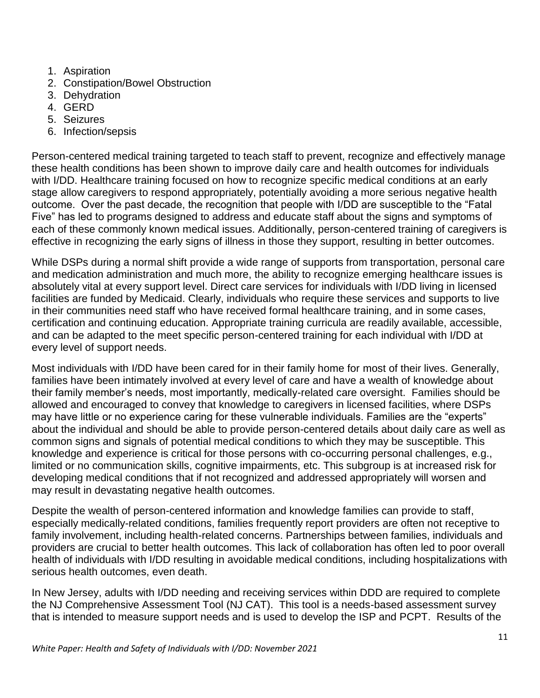- 1. Aspiration
- 2. Constipation/Bowel Obstruction
- 3. Dehydration
- 4. GERD
- 5. Seizures
- 6. Infection/sepsis

Person-centered medical training targeted to teach staff to prevent, recognize and effectively manage these health conditions has been shown to improve daily care and health outcomes for individuals with I/DD. Healthcare training focused on how to recognize specific medical conditions at an early stage allow caregivers to respond appropriately, potentially avoiding a more serious negative health outcome. Over the past decade, the recognition that people with I/DD are susceptible to the "Fatal Five" has led to programs designed to address and educate staff about the signs and symptoms of each of these commonly known medical issues. Additionally, person-centered training of caregivers is effective in recognizing the early signs of illness in those they support, resulting in better outcomes.

While DSPs during a normal shift provide a wide range of supports from transportation, personal care and medication administration and much more, the ability to recognize emerging healthcare issues is absolutely vital at every support level. Direct care services for individuals with I/DD living in licensed facilities are funded by Medicaid. Clearly, individuals who require these services and supports to live in their communities need staff who have received formal healthcare training, and in some cases, certification and continuing education. Appropriate training curricula are readily available, accessible, and can be adapted to the meet specific person-centered training for each individual with I/DD at every level of support needs.

Most individuals with I/DD have been cared for in their family home for most of their lives. Generally, families have been intimately involved at every level of care and have a wealth of knowledge about their family member's needs, most importantly, medically-related care oversight. Families should be allowed and encouraged to convey that knowledge to caregivers in licensed facilities, where DSPs may have little or no experience caring for these vulnerable individuals. Families are the "experts" about the individual and should be able to provide person-centered details about daily care as well as common signs and signals of potential medical conditions to which they may be susceptible. This knowledge and experience is critical for those persons with co-occurring personal challenges, e.g., limited or no communication skills, cognitive impairments, etc. This subgroup is at increased risk for developing medical conditions that if not recognized and addressed appropriately will worsen and may result in devastating negative health outcomes.

Despite the wealth of person-centered information and knowledge families can provide to staff, especially medically-related conditions, families frequently report providers are often not receptive to family involvement, including health-related concerns. Partnerships between families, individuals and providers are crucial to better health outcomes. This lack of collaboration has often led to poor overall health of individuals with I/DD resulting in avoidable medical conditions, including hospitalizations with serious health outcomes, even death.

In New Jersey, adults with I/DD needing and receiving services within DDD are required to complete the NJ Comprehensive Assessment Tool (NJ CAT). This tool is a needs-based assessment survey that is intended to measure support needs and is used to develop the ISP and PCPT. Results of the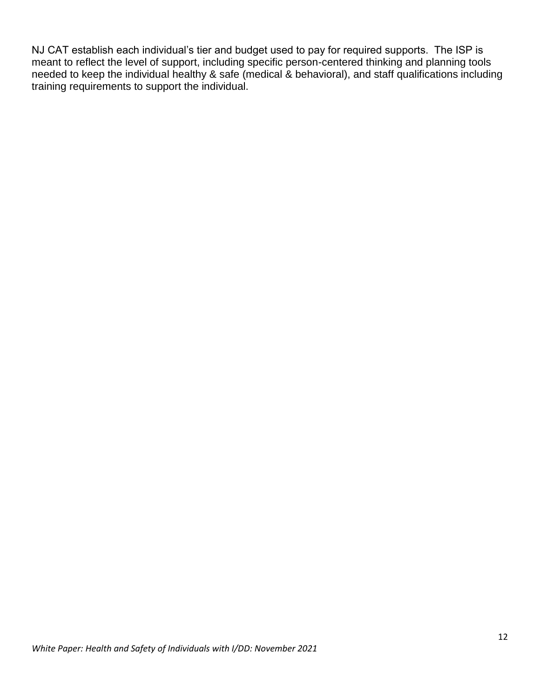NJ CAT establish each individual's tier and budget used to pay for required supports. The ISP is meant to reflect the level of support, including specific person-centered thinking and planning tools needed to keep the individual healthy & safe (medical & behavioral), and staff qualifications including training requirements to support the individual.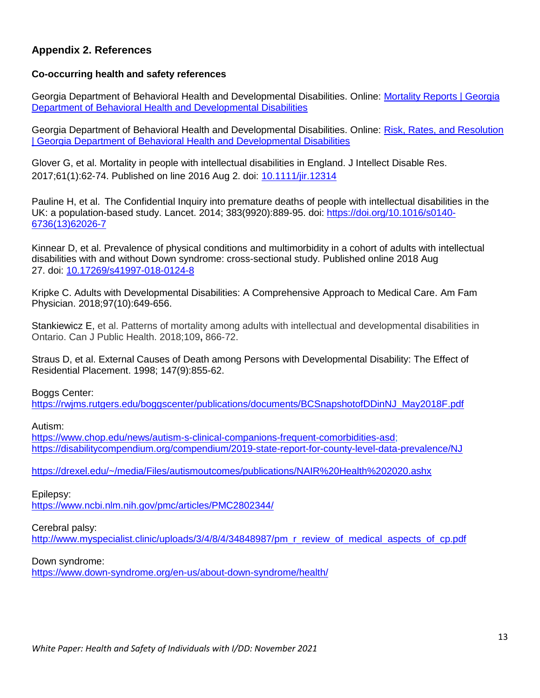### **Appendix 2. References**

#### **Co-occurring health and safety references**

Georgia Department of Behavioral Health and Developmental Disabilities. Online: [Mortality Reports | Georgia](https://dbhdd.georgia.gov/organization/be-informed/reports-performance/mortality-reports)  [Department of Behavioral Health and Developmental Disabilities](https://dbhdd.georgia.gov/organization/be-informed/reports-performance/mortality-reports)

Georgia Department of Behavioral Health and Developmental Disabilities. Online: [Risk, Rates, and Resolution](https://dbhdd.georgia.gov/organization/be-informed/reports-performance/risk-rates-and-resolution)  [| Georgia Department of Behavioral Health and Developmental Disabilities](https://dbhdd.georgia.gov/organization/be-informed/reports-performance/risk-rates-and-resolution)

Glover G, et al. Mortality in people with intellectual disabilities in England. J Intellect Disable Res. 2017;61(1):62-74. Published on line 2016 Aug 2. doi: [10.1111/jir.12314](https://doi.org/10.1111/jir.12314)

Pauline H, et al. The Confidential Inquiry into premature deaths of people with intellectual disabilities in the UK: a population-based study. Lancet. 2014; 383(9920):889-95. doi: [https://doi.org/10.1016/s0140-](https://doi.org/10.1016/s0140-6736(13)62026-7) [6736\(13\)62026-7](https://doi.org/10.1016/s0140-6736(13)62026-7)

Kinnear D, et al. Prevalence of physical conditions and multimorbidity in a cohort of adults with intellectual disabilities with and without Down syndrome: cross-sectional study. Published online 2018 Aug 27. doi: [10.17269/s41997-018-0124-8](https://dx.doi.org/10.17269%2Fs41997-018-0124-8)

Kripke C. Adults with Developmental Disabilities: A Comprehensive Approach to Medical Care. Am Fam Physician. 2018;97(10):649-656.

[Stankiewicz](https://link.springer.com/article/10.17269/s41997-018-0124-8#auth-Elizabeth-Stankiewicz) E, et al. Patterns of mortality among adults with intellectual and developmental disabilities in Ontario. Can J Public Health. 2018;109**,** 866-72.

Straus D, et al. External Causes of Death among Persons with Developmental Disability: The Effect of Residential Placement. 1998; 147(9):855-62.

Boggs Center:

[https://rwjms.rutgers.edu/boggscenter/publications/documents/BCSnapshotofDDinNJ\\_May2018F.pdf](https://rwjms.rutgers.edu/boggscenter/publications/documents/BCSnapshotofDDinNJ_May2018F.pdf)

Autism:

[https://www.chop.edu/news/autism-s-clinical-companions-frequent-comorbidities-asd;](https://www.chop.edu/news/autism-s-clinical-companions-frequent-comorbidities-asd) <https://disabilitycompendium.org/compendium/2019-state-report-for-county-level-data-prevalence/NJ>

<https://drexel.edu/~/media/Files/autismoutcomes/publications/NAIR%20Health%202020.ashx>

Epilepsy: <https://www.ncbi.nlm.nih.gov/pmc/articles/PMC2802344/>

Cerebral palsy:

[http://www.myspecialist.clinic/uploads/3/4/8/4/34848987/pm\\_r\\_review\\_of\\_medical\\_aspects\\_of\\_cp.pdf](http://www.myspecialist.clinic/uploads/3/4/8/4/34848987/pm_r_review_of_medical_aspects_of_cp.pdf)

Down syndrome:

<https://www.down-syndrome.org/en-us/about-down-syndrome/health/>